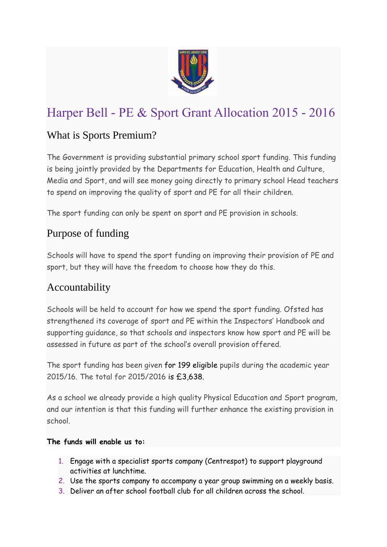

# Harper Bell - PE & Sport Grant Allocation 2015 - 2016

# What is Sports Premium?

The Government is providing substantial primary school sport funding. This funding is being jointly provided by the Departments for Education, Health and Culture, Media and Sport, and will see money going directly to primary school Head teachers to spend on improving the quality of sport and PE for all their children.

The sport funding can only be spent on sport and PE provision in schools.

# Purpose of funding

Schools will have to spend the sport funding on improving their provision of PE and sport, but they will have the freedom to choose how they do this.

# Accountability

Schools will be held to account for how we spend the sport funding. Ofsted has strengthened its coverage of sport and PE within the Inspectors' Handbook and supporting guidance, so that schools and inspectors know how sport and PE will be assessed in future as part of the school's overall provision offered.

The sport funding has been given for 199 eligible pupils during the academic year 2015/16. The total for 2015/2016 is £3,638.

As a school we already provide a high quality Physical Education and Sport program, and our intention is that this funding will further enhance the existing provision in school.

#### **The funds will enable us to:**

- 1. Engage with a specialist sports company (Centrespot) to support playground activities at lunchtime.
- 2. Use the sports company to accompany a year group swimming on a weekly basis.
- 3. Deliver an after school football club for all children across the school.